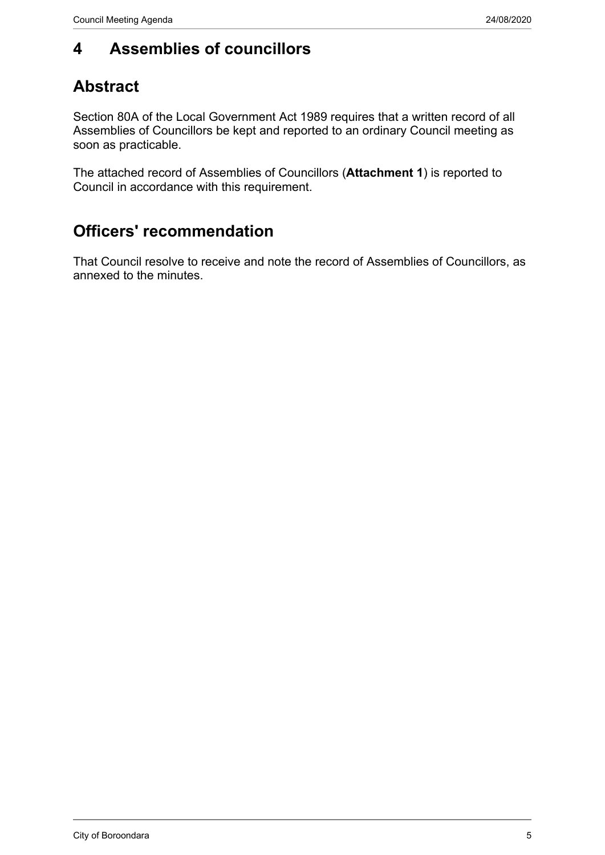#### **4 Assemblies of councillors**

### **Abstract**

Section 80A of the Local Government Act 1989 requires that a written record of all Assemblies of Councillors be kept and reported to an ordinary Council meeting as soon as practicable.

The attached record of Assemblies of Councillors (**Attachment 1**) is reported to Council in accordance with this requirement.

### **Officers' recommendation**

That Council resolve to receive and note the record of Assemblies of Councillors, as annexed to the minutes.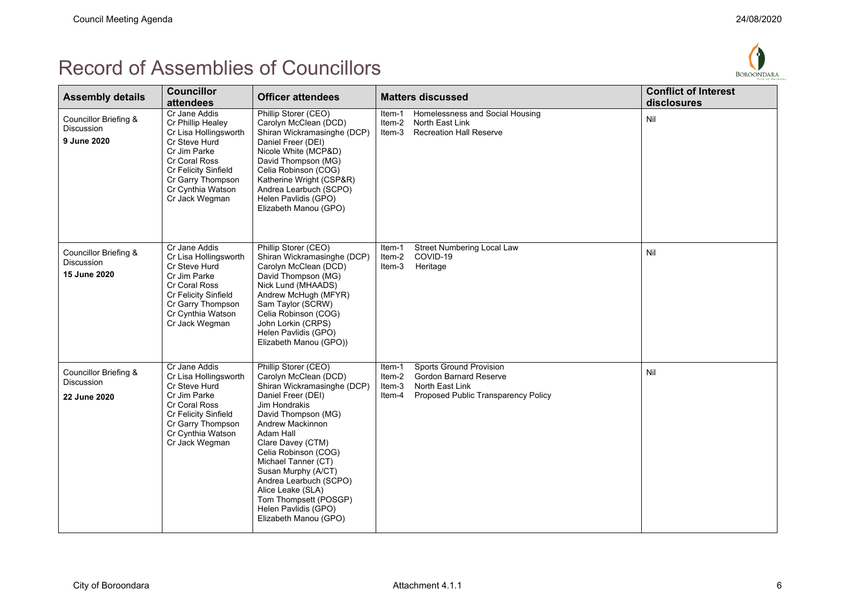

| <b>Assembly details</b>                                    | <b>Councillor</b><br>attendees                                                                                                                                                                    | <b>Officer attendees</b>                                                                                                                                                                                                                                                                                                                                                                               | <b>Matters discussed</b>                                                                                                                                   | <b>Conflict of Interest</b><br>disclosures |
|------------------------------------------------------------|---------------------------------------------------------------------------------------------------------------------------------------------------------------------------------------------------|--------------------------------------------------------------------------------------------------------------------------------------------------------------------------------------------------------------------------------------------------------------------------------------------------------------------------------------------------------------------------------------------------------|------------------------------------------------------------------------------------------------------------------------------------------------------------|--------------------------------------------|
| Councillor Briefing &<br><b>Discussion</b><br>9 June 2020  | Cr Jane Addis<br>Cr Phillip Healey<br>Cr Lisa Hollingsworth<br>Cr Steve Hurd<br>Cr Jim Parke<br>Cr Coral Ross<br>Cr Felicity Sinfield<br>Cr Garry Thompson<br>Cr Cynthia Watson<br>Cr Jack Wegman | Phillip Storer (CEO)<br>Carolyn McClean (DCD)<br>Shiran Wickramasinghe (DCP)<br>Daniel Freer (DEI)<br>Nicole White (MCP&D)<br>David Thompson (MG)<br>Celia Robinson (COG)<br>Katherine Wright (CSP&R)<br>Andrea Learbuch (SCPO)<br>Helen Pavlidis (GPO)<br>Elizabeth Manou (GPO)                                                                                                                       | Homelessness and Social Housing<br>Item-1<br>Item-2<br>North East Link<br>Item-3<br><b>Recreation Hall Reserve</b>                                         | Nil                                        |
| Councillor Briefing &<br><b>Discussion</b><br>15 June 2020 | Cr Jane Addis<br>Cr Lisa Hollingsworth<br>Cr Steve Hurd<br>Cr Jim Parke<br>Cr Coral Ross<br>Cr Felicity Sinfield<br>Cr Garry Thompson<br>Cr Cynthia Watson<br>Cr Jack Wegman                      | Phillip Storer (CEO)<br>Shiran Wickramasinghe (DCP)<br>Carolyn McClean (DCD)<br>David Thompson (MG)<br>Nick Lund (MHAADS)<br>Andrew McHugh (MFYR)<br>Sam Taylor (SCRW)<br>Celia Robinson (COG)<br>John Lorkin (CRPS)<br>Helen Pavlidis (GPO)<br>Elizabeth Manou (GPO))                                                                                                                                 | <b>Street Numbering Local Law</b><br>Item-1<br>Item-2<br>COVID-19<br>Item-3<br>Heritage                                                                    | Nil                                        |
| Councillor Briefing &<br><b>Discussion</b><br>22 June 2020 | Cr Jane Addis<br>Cr Lisa Hollingsworth<br>Cr Steve Hurd<br>Cr Jim Parke<br>Cr Coral Ross<br>Cr Felicity Sinfield<br>Cr Garry Thompson<br>Cr Cynthia Watson<br>Cr Jack Wegman                      | Phillip Storer (CEO)<br>Carolyn McClean (DCD)<br>Shiran Wickramasinghe (DCP)<br>Daniel Freer (DEI)<br><b>Jim Hondrakis</b><br>David Thompson (MG)<br>Andrew Mackinnon<br>Adam Hall<br>Clare Davey (CTM)<br>Celia Robinson (COG)<br>Michael Tanner (CT)<br>Susan Murphy (A/CT)<br>Andrea Learbuch (SCPO)<br>Alice Leake (SLA)<br>Tom Thompsett (POSGP)<br>Helen Pavlidis (GPO)<br>Elizabeth Manou (GPO) | <b>Sports Ground Provision</b><br>Item-1<br>Item-2<br>Gordon Barnard Reserve<br>North East Link<br>Item-3<br>Proposed Public Transparency Policy<br>Item-4 | Nil                                        |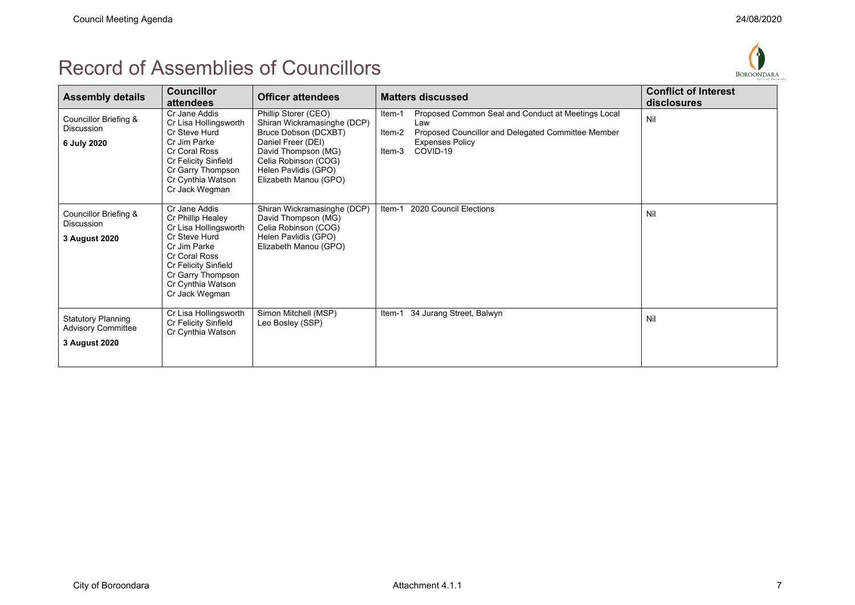

| <b>Assembly details</b>                                                 | <b>Councillor</b><br>attendees                                                                                                                                                                    | <b>Officer attendees</b>                                                                                                                                                                          | <b>Matters discussed</b>                                                                                                                                                            | <b>Conflict of Interest</b><br>disclosures |
|-------------------------------------------------------------------------|---------------------------------------------------------------------------------------------------------------------------------------------------------------------------------------------------|---------------------------------------------------------------------------------------------------------------------------------------------------------------------------------------------------|-------------------------------------------------------------------------------------------------------------------------------------------------------------------------------------|--------------------------------------------|
| Councillor Briefing &<br><b>Discussion</b><br>6 July 2020               | Cr Jane Addis<br>Cr Lisa Hollingsworth<br>Cr Steve Hurd<br>Cr Jim Parke<br>Cr Coral Ross<br>Cr Felicity Sinfield<br>Cr Garry Thompson<br>Cr Cynthia Watson<br>Cr Jack Wegman                      | Phillip Storer (CEO)<br>Shiran Wickramasinghe (DCP)<br>Bruce Dobson (DCXBT)<br>Daniel Freer (DEI)<br>David Thompson (MG)<br>Celia Robinson (COG)<br>Helen Pavlidis (GPO)<br>Elizabeth Manou (GPO) | Proposed Common Seal and Conduct at Meetings Local<br>Item-1<br>Law<br>Proposed Councillor and Delegated Committee Member<br>Item-2<br><b>Expenses Policy</b><br>COVID-19<br>Item-3 | Nil                                        |
| Councillor Briefing &<br><b>Discussion</b><br>3 August 2020             | Cr Jane Addis<br>Cr Phillip Healey<br>Cr Lisa Hollingsworth<br>Cr Steve Hurd<br>Cr Jim Parke<br>Cr Coral Ross<br>Cr Felicity Sinfield<br>Cr Garry Thompson<br>Cr Cynthia Watson<br>Cr Jack Wegman | Shiran Wickramasinghe (DCP)<br>David Thompson (MG)<br>Celia Robinson (COG)<br>Helen Pavlidis (GPO)<br>Elizabeth Manou (GPO)                                                                       | 2020 Council Elections<br>Item-1                                                                                                                                                    | Nil                                        |
| <b>Statutory Planning</b><br><b>Advisory Committee</b><br>3 August 2020 | Cr Lisa Hollingsworth<br>Cr Felicity Sinfield<br>Cr Cynthia Watson                                                                                                                                | Simon Mitchell (MSP)<br>Leo Bosley (SSP)                                                                                                                                                          | 34 Jurang Street, Balwyn<br>Item-1                                                                                                                                                  | Nil                                        |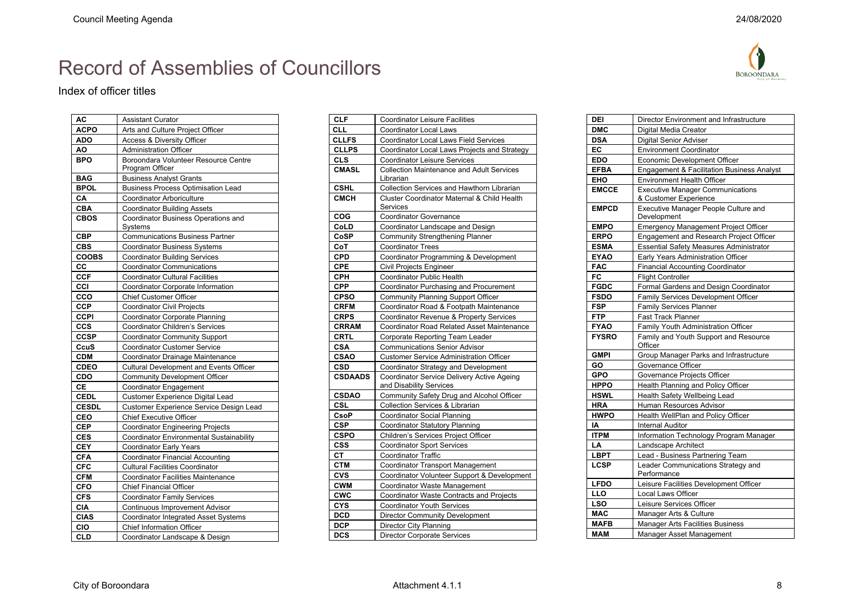$BOROONDARA$ 

# Record of Assemblies of Councillors

#### Index of officer titles

| AC           | <b>Assistant Curator</b>                                                      |  |
|--------------|-------------------------------------------------------------------------------|--|
| <b>ACPO</b>  | Arts and Culture Project Officer                                              |  |
| <b>ADO</b>   | Access & Diversity Officer                                                    |  |
| ΑO           | <b>Administration Officer</b>                                                 |  |
| <b>BPO</b>   | Boroondara Volunteer Resource Centre                                          |  |
|              | Program Officer                                                               |  |
| <b>BAG</b>   | <b>Business Analyst Grants</b>                                                |  |
| <b>BPOL</b>  | <b>Business Process Optimisation Lead</b>                                     |  |
| CA           | Coordinator Arboriculture                                                     |  |
| <b>CBA</b>   | <b>Coordinator Building Assets</b>                                            |  |
| <b>CBOS</b>  | <b>Coordinator Business Operations and</b>                                    |  |
| <b>CBP</b>   | Systems                                                                       |  |
| <b>CBS</b>   | <b>Communications Business Partner</b><br><b>Coordinator Business Systems</b> |  |
| <b>COOBS</b> | <b>Coordinator Building Services</b>                                          |  |
| CC           | <b>Coordinator Communications</b>                                             |  |
| <b>CCF</b>   | <b>Coordinator Cultural Facilities</b>                                        |  |
| CCI          | Coordinator Corporate Information                                             |  |
| cco          | <b>Chief Customer Officer</b>                                                 |  |
| <b>CCP</b>   | <b>Coordinator Civil Projects</b>                                             |  |
| <b>CCPI</b>  | <b>Coordinator Corporate Planning</b>                                         |  |
| ccs          | Coordinator Children's Services                                               |  |
| <b>CCSP</b>  | <b>Coordinator Community Support</b>                                          |  |
| CcuS         | <b>Coordinator Customer Service</b>                                           |  |
| <b>CDM</b>   | Coordinator Drainage Maintenance                                              |  |
| <b>CDEO</b>  | <b>Cultural Development and Events Officer</b>                                |  |
| CDO          | <b>Community Development Officer</b>                                          |  |
| CE           | <b>Coordinator Engagement</b>                                                 |  |
| <b>CEDL</b>  | Customer Experience Digital Lead                                              |  |
| <b>CESDL</b> | Customer Experience Service Design Lead                                       |  |
| CEO          | <b>Chief Executive Officer</b>                                                |  |
| <b>CEP</b>   | <b>Coordinator Engineering Projects</b>                                       |  |
| <b>CES</b>   | <b>Coordinator Environmental Sustainability</b>                               |  |
| <b>CEY</b>   | <b>Coordinator Early Years</b>                                                |  |
| <b>CFA</b>   | <b>Coordinator Financial Accounting</b>                                       |  |
| <b>CFC</b>   | <b>Cultural Facilities Coordinator</b>                                        |  |
| <b>CFM</b>   | Coordinator Facilities Maintenance                                            |  |
| <b>CFO</b>   | Chief Financial Officer                                                       |  |
| <b>CFS</b>   | <b>Coordinator Family Services</b>                                            |  |
| <b>CIA</b>   | Continuous Improvement Advisor                                                |  |
| <b>CIAS</b>  | <b>Coordinator Integrated Asset Systems</b>                                   |  |
| CIO          | <b>Chief Information Officer</b>                                              |  |
| <b>CLD</b>   | Coordinator Landscape & Design                                                |  |
|              |                                                                               |  |

| <b>CLF</b>     | Coordinator Leisure Facilities                         |  |
|----------------|--------------------------------------------------------|--|
| CLL            | <b>Coordinator Local Laws</b>                          |  |
| <b>CLLFS</b>   | Coordinator Local Laws Field Services                  |  |
| <b>CLLPS</b>   | Coordinator Local Laws Projects and Strategy           |  |
| <b>CLS</b>     | <b>Coordinator Leisure Services</b>                    |  |
| <b>CMASL</b>   | <b>Collection Maintenance and Adult Services</b>       |  |
|                | Librarian                                              |  |
| <b>CSHL</b>    | Collection Services and Hawthorn Librarian             |  |
| <b>CMCH</b>    | <b>Cluster Coordinator Maternal &amp; Child Health</b> |  |
|                | Services                                               |  |
| COG            | Coordinator Governance                                 |  |
| CoLD           | Coordinator Landscape and Design                       |  |
| CoSP           | <b>Community Strengthening Planner</b>                 |  |
| CoT            | <b>Coordinator Trees</b>                               |  |
| <b>CPD</b>     | Coordinator Programming & Development                  |  |
| <b>CPE</b>     | <b>Civil Projects Engineer</b>                         |  |
| <b>CPH</b>     | Coordinator Public Health                              |  |
| <b>CPP</b>     | Coordinator Purchasing and Procurement                 |  |
| <b>CPSO</b>    | <b>Community Planning Support Officer</b>              |  |
| <b>CRFM</b>    | Coordinator Road & Footpath Maintenance                |  |
| <b>CRPS</b>    | Coordinator Revenue & Property Services                |  |
| <b>CRRAM</b>   | <b>Coordinator Road Related Asset Maintenance</b>      |  |
| <b>CRTL</b>    | Corporate Reporting Team Leader                        |  |
| <b>CSA</b>     | <b>Communications Senior Advisor</b>                   |  |
| <b>CSAO</b>    | <b>Customer Service Administration Officer</b>         |  |
| <b>CSD</b>     | Coordinator Strategy and Development                   |  |
| <b>CSDAADS</b> | Coordinator Service Delivery Active Ageing             |  |
|                | and Disability Services                                |  |
| <b>CSDAO</b>   | Community Safety Drug and Alcohol Officer              |  |
| <b>CSL</b>     | <b>Collection Services &amp; Librarian</b>             |  |
| <b>CsoP</b>    | <b>Coordinator Social Planning</b>                     |  |
| <b>CSP</b>     | <b>Coordinator Statutory Planning</b>                  |  |
| <b>CSPO</b>    | Children's Services Project Officer                    |  |
| <b>CSS</b>     | <b>Coordinator Sport Services</b>                      |  |
| СT             | <b>Coordinator Traffic</b>                             |  |
| <b>CTM</b>     | <b>Coordinator Transport Management</b>                |  |
| <b>CVS</b>     | Coordinator Volunteer Support & Development            |  |
| <b>CWM</b>     | Coordinator Waste Management                           |  |
| <b>CWC</b>     | Coordinator Waste Contracts and Projects               |  |
| <b>CYS</b>     | <b>Coordinator Youth Services</b>                      |  |
| <b>DCD</b>     | <b>Director Community Development</b>                  |  |
| <b>DCP</b>     | <b>Director City Planning</b>                          |  |
| <b>DCS</b>     | <b>Director Corporate Services</b>                     |  |

| DEI          | Director Environment and Infrastructure                          |  |  |
|--------------|------------------------------------------------------------------|--|--|
| <b>DMC</b>   | Digital Media Creator                                            |  |  |
| <b>DSA</b>   | <b>Digital Senior Adviser</b>                                    |  |  |
| EC           | <b>Environment Coordinator</b>                                   |  |  |
| <b>EDO</b>   | <b>Economic Development Officer</b>                              |  |  |
| <b>EFBA</b>  | <b>Engagement &amp; Facilitation Business Analyst</b>            |  |  |
| EHO          | <b>Environment Health Officer</b>                                |  |  |
| <b>EMCCE</b> | <b>Executive Manager Communications</b><br>& Customer Experience |  |  |
| <b>EMPCD</b> | Executive Manager People Culture and<br>Development              |  |  |
| <b>EMPO</b>  | <b>Emergency Management Project Officer</b>                      |  |  |
| <b>ERPO</b>  | Engagement and Research Project Officer                          |  |  |
| <b>ESMA</b>  | <b>Essential Safety Measures Administrator</b>                   |  |  |
| <b>EYAO</b>  | Early Years Administration Officer                               |  |  |
| <b>FAC</b>   | <b>Financial Accounting Coordinator</b>                          |  |  |
| FC           | <b>Flight Controller</b>                                         |  |  |
| <b>FGDC</b>  | Formal Gardens and Design Coordinator                            |  |  |
| <b>FSDO</b>  | Family Services Development Officer                              |  |  |
| <b>FSP</b>   | <b>Family Services Planner</b>                                   |  |  |
| <b>FTP</b>   | <b>Fast Track Planner</b>                                        |  |  |
| <b>FYAO</b>  | Family Youth Administration Officer                              |  |  |
| <b>FYSRO</b> | Family and Youth Support and Resource<br>Officer                 |  |  |
| <b>GMPI</b>  | Group Manager Parks and Infrastructure                           |  |  |
| GO           | Governance Officer                                               |  |  |
| <b>GPO</b>   | Governance Projects Officer                                      |  |  |
| <b>HPPO</b>  | Health Planning and Policy Officer                               |  |  |
| <b>HSWL</b>  | Health Safety Wellbeing Lead                                     |  |  |
| <b>HRA</b>   | <b>Human Resources Advisor</b>                                   |  |  |
| <b>HWPO</b>  | Health WellPlan and Policy Officer                               |  |  |
| IA           | <b>Internal Auditor</b>                                          |  |  |
| <b>ITPM</b>  | Information Technology Program Manager                           |  |  |
| LA           | Landscape Architect                                              |  |  |
| <b>LBPT</b>  | Lead - Business Partnering Team                                  |  |  |
| <b>LCSP</b>  | Leader Communications Strategy and<br>Performance                |  |  |
| <b>LFDO</b>  | Leisure Facilities Development Officer                           |  |  |
| <b>LLO</b>   | Local Laws Officer                                               |  |  |
| LSO          | Leisure Services Officer                                         |  |  |
| <b>MAC</b>   | Manager Arts & Culture                                           |  |  |
| <b>MAFB</b>  | <b>Manager Arts Facilities Business</b>                          |  |  |
| <b>MAM</b>   | Manager Asset Management                                         |  |  |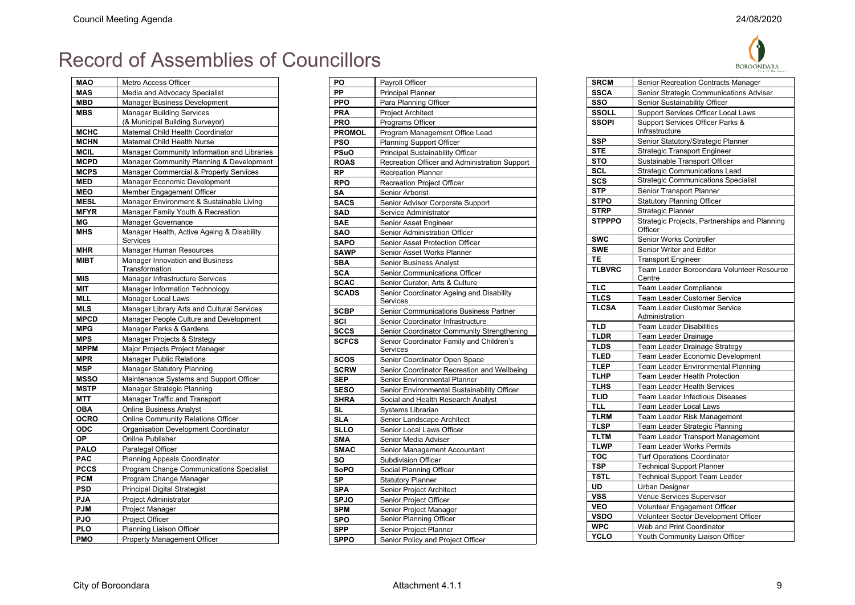**A** 

| MAO         | Metro Access Officer                                     |  |
|-------------|----------------------------------------------------------|--|
| <b>MAS</b>  | Media and Advocacy Specialist                            |  |
| <b>MBD</b>  | Manager Business Development                             |  |
| <b>MBS</b>  | <b>Manager Building Services</b>                         |  |
|             | (& Municipal Building Surveyor)                          |  |
| <b>MCHC</b> | Maternal Child Health Coordinator                        |  |
| <b>MCHN</b> | <b>Maternal Child Health Nurse</b>                       |  |
| <b>MCIL</b> | Manager Community Information and Libraries              |  |
| <b>MCPD</b> | Manager Community Planning & Development                 |  |
| <b>MCPS</b> | Manager Commercial & Property Services                   |  |
| <b>MED</b>  | Manager Economic Development                             |  |
| <b>MEO</b>  | Member Engagement Officer                                |  |
| <b>MESL</b> | Manager Environment & Sustainable Living                 |  |
| <b>MFYR</b> | Manager Family Youth & Recreation                        |  |
| ΜG          | Manager Governance                                       |  |
| <b>MHS</b>  | Manager Health, Active Ageing & Disability<br>Services   |  |
| MHR         | <b>Manager Human Resources</b>                           |  |
| <b>MIBT</b> | <b>Manager Innovation and Business</b><br>Transformation |  |
| <b>MIS</b>  | Manager Infrastructure Services                          |  |
| MIT         | <b>Manager Information Technology</b>                    |  |
| MLL         | Manager Local Laws                                       |  |
| <b>MLS</b>  | Manager Library Arts and Cultural Services               |  |
| <b>MPCD</b> | Manager People Culture and Development                   |  |
| <b>MPG</b>  | Manager Parks & Gardens                                  |  |
| <b>MPS</b>  | Manager Projects & Strategy                              |  |
| <b>MPPM</b> | Major Projects Project Manager                           |  |
| <b>MPR</b>  | <b>Manager Public Relations</b>                          |  |
| <b>MSP</b>  | <b>Manager Statutory Planning</b>                        |  |
| <b>MSSO</b> | Maintenance Systems and Support Officer                  |  |
| <b>MSTP</b> | Manager Strategic Planning                               |  |
| MTT         | Manager Traffic and Transport                            |  |
| <b>OBA</b>  | <b>Online Business Analyst</b>                           |  |
| <b>OCRO</b> | <b>Online Community Relations Officer</b>                |  |
| <b>ODC</b>  | Organisation Development Coordinator                     |  |
| ОP          | <b>Online Publisher</b>                                  |  |
| <b>PALO</b> | Paralegal Officer                                        |  |
| <b>PAC</b>  | <b>Planning Appeals Coordinator</b>                      |  |
| <b>PCCS</b> | <b>Program Change Communications Specialist</b>          |  |
| <b>PCM</b>  | Program Change Manager                                   |  |
| <b>PSD</b>  | Principal Digital Strategist                             |  |
| <b>PJA</b>  | Project Administrator                                    |  |
| <b>PJM</b>  | Project Manager                                          |  |
| <b>PJO</b>  | Project Officer                                          |  |
| PLO         | Planning Liaison Officer                                 |  |
| <b>PMO</b>  | Property Management Officer                              |  |

| PO            | Payroll Officer                               |  |
|---------------|-----------------------------------------------|--|
| PP            | <b>Principal Planner</b>                      |  |
| <b>PPO</b>    | Para Planning Officer                         |  |
| <b>PRA</b>    | <b>Project Architect</b>                      |  |
| <b>PRO</b>    | Programs Officer                              |  |
| <b>PROMOL</b> | Program Management Office Lead                |  |
| <b>PSO</b>    | <b>Planning Support Officer</b>               |  |
| PSuO          | Principal Sustainability Officer              |  |
| <b>ROAS</b>   | Recreation Officer and Administration Support |  |
| RP            | <b>Recreation Planner</b>                     |  |
| <b>RPO</b>    | <b>Recreation Project Officer</b>             |  |
| SΑ            | Senior Arborist                               |  |
| <b>SACS</b>   | Senior Advisor Corporate Support              |  |
| <b>SAD</b>    | Service Administrator                         |  |
| <b>SAE</b>    | Senior Asset Engineer                         |  |
| SAO           | Senior Administration Officer                 |  |
| <b>SAPO</b>   | Senior Asset Protection Officer               |  |
| <b>SAWP</b>   | Senior Asset Works Planner                    |  |
| <b>SBA</b>    | Senior Business Analyst                       |  |
| SCA           | <b>Senior Communications Officer</b>          |  |
| <b>SCAC</b>   | Senior Curator, Arts & Culture                |  |
| <b>SCADS</b>  | Senior Coordinator Ageing and Disability      |  |
|               | Services                                      |  |
| <b>SCBP</b>   | Senior Communications Business Partner        |  |
| SCI           | Senior Coordinator Infrastructure             |  |
| <b>SCCS</b>   | Senior Coordinator Community Strengthening    |  |
| <b>SCFCS</b>  | Senior Coordinator Family and Children's      |  |
|               | Services                                      |  |
| scos          | Senior Coordinator Open Space                 |  |
| <b>SCRW</b>   | Senior Coordinator Recreation and Wellbeing   |  |
| <b>SEP</b>    | Senior Environmental Planner                  |  |
| <b>SESO</b>   | Senior Environmental Sustainability Officer   |  |
| <b>SHRA</b>   | Social and Health Research Analyst            |  |
| SL            | Systems Librarian                             |  |
| <b>SLA</b>    | Senior Landscape Architect                    |  |
| <b>SLLO</b>   | Senior Local Laws Officer                     |  |
| <b>SMA</b>    | Senior Media Adviser                          |  |
| <b>SMAC</b>   | Senior Management Accountant                  |  |
| SO            | <b>Subdivision Officer</b>                    |  |
| <b>SoPO</b>   | Social Planning Officer                       |  |
| <b>SP</b>     | <b>Statutory Planner</b>                      |  |
| <b>SPA</b>    | Senior Project Architect                      |  |
| <b>SPJO</b>   | Senior Project Officer                        |  |
| <b>SPM</b>    | Senior Project Manager                        |  |
| <b>SPO</b>    | Senior Planning Officer                       |  |
| <b>SPP</b>    | Senior Project Planner                        |  |
| <b>SPPO</b>   | Senior Policy and Project Officer             |  |
|               |                                               |  |

|               | <b>BOROONDARA</b>                                     |
|---------------|-------------------------------------------------------|
| <b>SRCM</b>   | Senior Recreation Contracts Manager                   |
| <b>SSCA</b>   | Senior Strategic Communications Adviser               |
| SSO           | Senior Sustainability Officer                         |
| <b>SSOLL</b>  | Support Services Officer Local Laws                   |
| <b>SSOPI</b>  | Support Services Officer Parks &<br>Infrastructure    |
| SSP           | Senior Statutory/Strategic Planner                    |
| <b>STE</b>    | <b>Strategic Transport Engineer</b>                   |
| <b>STO</b>    | Sustainable Transport Officer                         |
| SCL           | <b>Strategic Communications Lead</b>                  |
| SCS           | <b>Strategic Communications Specialist</b>            |
| <b>STP</b>    | Senior Transport Planner                              |
| <b>STPO</b>   | Statutory Planning Officer                            |
| <b>STRP</b>   | Strategic Planner                                     |
| <b>STPPPO</b> | Strategic Projects, Partnerships and Planning         |
|               | Officer                                               |
| <b>SWC</b>    | Senior Works Controller                               |
| <b>SWE</b>    | Senior Writer and Editor                              |
| TE            | <b>Transport Engineer</b>                             |
| <b>TLBVRC</b> | Team Leader Boroondara Volunteer Resource             |
|               | Centre                                                |
| <b>TLC</b>    | Team Leader Compliance                                |
| <b>TLCS</b>   | Team Leader Customer Service                          |
| <b>TLCSA</b>  | <b>Team Leader Customer Service</b><br>Administration |
| <b>TLD</b>    | <b>Team Leader Disabilities</b>                       |
| <b>TLDR</b>   | Team Leader Drainage                                  |
| <b>TLDS</b>   | Team Leader Drainage Strategy                         |
| <b>TLED</b>   | Team Leader Economic Development                      |
| <b>TLEP</b>   | <b>Team Leader Environmental Planning</b>             |
| <b>TLHP</b>   | <b>Team Leader Health Protection</b>                  |
| <b>TLHS</b>   | <b>Team Leader Health Services</b>                    |
| <b>TLID</b>   | <b>Team Leader Infectious Diseases</b>                |
| <b>TLL</b>    | <b>Team Leader Local Laws</b>                         |
| <b>TLRM</b>   | Team Leader Risk Management                           |
| <b>TLSP</b>   | Team Leader Strategic Planning                        |
| <b>TLTM</b>   | <b>Team Leader Transport Management</b>               |
| <b>TLWP</b>   | <b>Team Leader Works Permits</b>                      |
| <b>TOC</b>    | <b>Turf Operations Coordinator</b>                    |
| <b>TSP</b>    | <b>Technical Support Planner</b>                      |
| <b>TSTL</b>   | <b>Technical Support Team Leader</b>                  |
| UD            | <b>Urban Designer</b>                                 |
| <b>VSS</b>    | Venue Services Supervisor                             |
| <b>VEO</b>    | Volunteer Engagement Officer                          |
| <b>VSDO</b>   | Volunteer Sector Development Officer                  |
| <b>WPC</b>    | Web and Print Coordinator                             |
| <b>YCLO</b>   | Youth Community Liaison Officer                       |